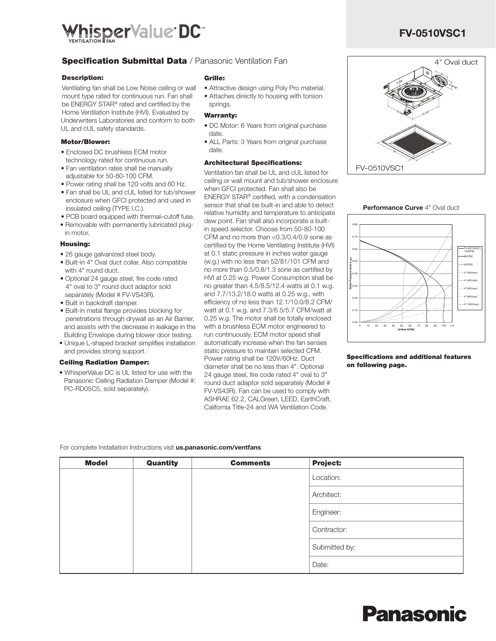

## **Specification Submittal Data** / Panasonic Ventilation Fan

#### Description:

Ventilating fan shall be Low Noise ceiling or wall mount type rated for continuous run. Fan shall be ENERGY STAR® rated and certified by the Home Ventilation Institute (HVI). Evaluated by Underwriters Laboratories and conform to both UL and cUL safety standards.

#### Motor/Blower:

- Enclosed DC brushless ECM motor technology rated for continuous run.
- Fan ventilation rates shall be manually adjustable for 50-80-100 CFM.
- Power rating shall be 120 volts and 60 Hz. • Fan shall be UL and cUL listed for tub/shower enclosure when GFCI protected and used in
- insulated ceiling (TYPE I.C.).
- PCB board equipped with thermal–cutoff fuse.
- Removable with permanently lubricated plugin motor.

#### Housing:

- 26 gauge galvanized steel body.
- Built-in 4" Oval duct collar. Also compatible with 4" round duct.
- Optional 24 gauge steel, fire code rated 4" oval to 3" round duct adaptor sold separately (Model # FV-VS43R).
- Built in backdraft damper.
- Built-in metal flange provides blocking for penetrations through drywall as an Air Barrier, and assists with the decrease in leakage in the Building Envelope during blower door testing.
- Unique L-shaped bracket simplifies installation and provides strong support.

#### Ceiling Radiation Damper:

• WhisperValue DC is UL listed for use with the Panasonic Ceiling Radiation Damper (Model #: PC-RD05C5, sold separately).

#### Grille:

- Attractive design using Poly Pro material.
- Attaches directly to housing with torsion springs.

#### Warranty:

- DC Motor: 6 Years from original purchase date.
- ALL Parts: 3 Years from original purchase date.

#### Architectural Specifications:

Ventilation fan shall be UL and cUL listed for ceiling or wall mount and tub/shower enclosure when GFCI protected. Fan shall also be ENERGY STAR® certified, with a condensation sensor that shall be built-in and able to detect relative humidity and temperature to anticipate dew point. Fan shall also incorporate a builtin speed selector. Choose from 50-80-100 CFM and no more than <0.3/0.4/0.9 sone as certified by the Home Ventilating Institute (HVI) at 0.1 static pressure in inches water gauge (w.g.) with no less than 52/81/101 CFM and no more than 0.5/0.8/1.3 sone as certified by HVI at 0.25 w.g. Power Consumption shall be no greater than 4.5/8.5/12.4 watts at 0.1 w.g. and 7.7/13.2/18.0 watts at 0.25 w.g., with efficiency of no less than 12.1/10.0/8.2 CFM/ watt at 0.1 w.g. and 7.3/6.5/5.7 CFM/watt at 0.25 w.g. The motor shall be totally enclosed with a brushless ECM motor engineered to run continuously. ECM motor speed shall automatically increase when the fan senses static pressure to maintain selected CFM. Power rating shall be 120V/60Hz. Duct diameter shall be no less than 4". Optional 24 gauge steel, fire code rated 4" oval to 3" round duct adaptor sold separately (Model # FV-VS43R). Fan can be used to comply with ASHRAE 62.2, CALGreen, LEED, EarthCraft, California Title-24 and WA Ventilation Code.

 FV-0510VSC1 4" Oval duct





Specifications and additional features on following page.

For complete Installation Instructions visit us.panasonic.com/ventfans

| <b>Model</b> | Quantity | <b>Comments</b> | <b>Project:</b> |
|--------------|----------|-----------------|-----------------|
|              |          |                 | Location:       |
|              |          |                 | Architect:      |
|              |          |                 | Engineer:       |
|              |          |                 | Contractor:     |
|              |          |                 | Submitted by:   |
|              |          |                 | Date:           |

# FV-0510VSC1

# Panasonic